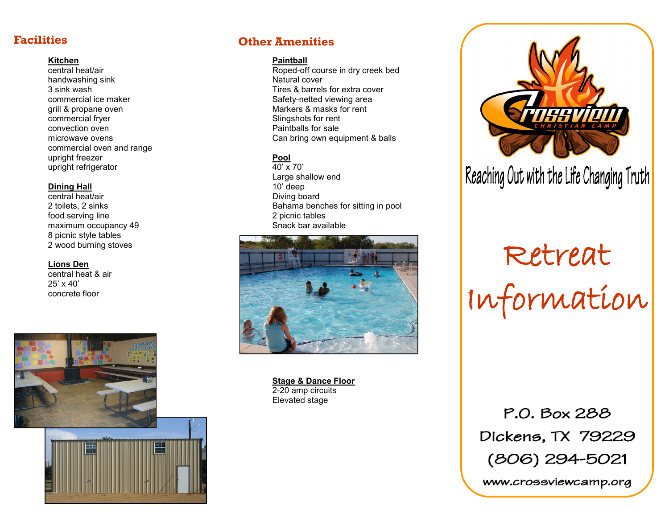#### **Kitchen**

central heat/air handwashing sink 3 sink wash commercial ice maker grill & propane oven commercial fryer convection oven microwave ovens commercial oven and range upright freezer upright refrigerator

#### **Dining Hall**

central heat/air 2 toilets, 2 sinks food serving line maximum occupancy 49 8 picnic style tables 2 wood burning stoves

#### **Lions Den**

central heat & air 25' x 40' concrete floor



#### **Facilities Other Amenities**

#### **Paintball**

Roped-off course in dry creek bed Natural cover Tires & barrels for extra cover Safety-netted viewing area Markers & masks for rent Slingshots for rent Paintballs for sale Can bring own equipment & balls

#### **Pool**

 $\overline{40'} \times 70'$ Large shallow end 10' deep Diving board Bahama benches for sitting in pool 2 picnic tables Snack bar available



**Stage & Dance Floor** 2-20 amp circuits Elevated stage



### Reaching Out with the Life Changing Truth

# Retreat Information

P.O. Box 288 Dickens, TX 79229 (806) 294-5021

www.crossviewcamp.org